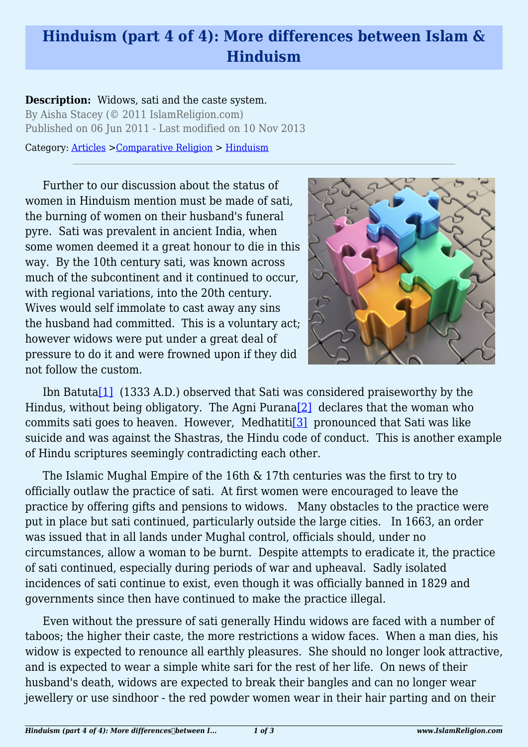## **Hinduism (part 4 of 4): More differences between Islam & Hinduism**

## **Description:** Widows, sati and the caste system. By Aisha Stacey (© 2011 IslamReligion.com)

Published on 06 Jun 2011 - Last modified on 10 Nov 2013

Category: [Articles](http://www.islamreligion.com/articles/) >[Comparative Religion](http://www.islamreligion.com/category/68/) > [Hinduism](http://www.islamreligion.com/category/74/)

Further to our discussion about the status of women in Hinduism mention must be made of sati, the burning of women on their husband's funeral pyre. Sati was prevalent in ancient India, when some women deemed it a great honour to die in this way. By the 10th century sati, was known across much of the subcontinent and it continued to occur, with regional variations, into the 20th century. Wives would self immolate to cast away any sins the husband had committed. This is a voluntary act; however widows were put under a great deal of pressure to do it and were frowned upon if they did not follow the custom.



<span id="page-0-2"></span><span id="page-0-1"></span><span id="page-0-0"></span>Ibn Batuta<sup>[1]</sup> (1333 A.D.) observed that Sati was considered praiseworthy by the Hindus, without being obligatory. The Agni Purana<sup>[2]</sup> declares that the woman who commits sati goes to heaven. However, Medhatiti<sup>[\[3\]](#page-2-2)</sup> pronounced that Sati was like suicide and was against the Shastras, the Hindu code of conduct. This is another example of Hindu scriptures seemingly contradicting each other.

The Islamic Mughal Empire of the 16th & 17th centuries was the first to try to officially outlaw the practice of sati. At first women were encouraged to leave the practice by offering gifts and pensions to widows. Many obstacles to the practice were put in place but sati continued, particularly outside the large cities. In 1663, an order was issued that in all lands under Mughal control, officials should, under no circumstances, allow a woman to be burnt. Despite attempts to eradicate it, the practice of sati continued, especially during periods of war and upheaval. Sadly isolated incidences of sati continue to exist, even though it was officially banned in 1829 and governments since then have continued to make the practice illegal.

Even without the pressure of sati generally Hindu widows are faced with a number of taboos; the higher their caste, the more restrictions a widow faces. When a man dies, his widow is expected to renounce all earthly pleasures. She should no longer look attractive, and is expected to wear a simple white sari for the rest of her life. On news of their husband's death, widows are expected to break their bangles and can no longer wear jewellery or use sindhoor - the red powder women wear in their hair parting and on their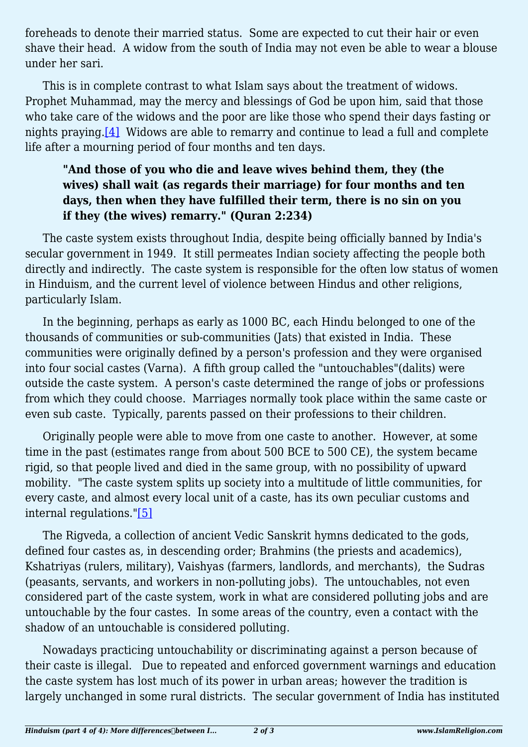foreheads to denote their married status. Some are expected to cut their hair or even shave their head. A widow from the south of India may not even be able to wear a blouse under her sari.

<span id="page-1-0"></span>This is in complete contrast to what Islam says about the treatment of widows. Prophet Muhammad, may the mercy and blessings of God be upon him, said that those who take care of the widows and the poor are like those who spend their days fasting or nights praying[.\[4\]](#page-2-3) Widows are able to remarry and continue to lead a full and complete life after a mourning period of four months and ten days.

## **"And those of you who die and leave wives behind them, they (the wives) shall wait (as regards their marriage) for four months and ten days, then when they have fulfilled their term, there is no sin on you if they (the wives) remarry." (Quran 2:234)**

The caste system exists throughout India, despite being officially banned by India's secular government in 1949. It still permeates Indian society affecting the people both directly and indirectly. The caste system is responsible for the often low status of women in Hinduism, and the current level of violence between Hindus and other religions, particularly Islam.

In the beginning, perhaps as early as 1000 BC, each Hindu belonged to one of the thousands of communities or sub-communities (Jats) that existed in India. These communities were originally defined by a person's profession and they were organised into four social castes (Varna). A fifth group called the "untouchables"(dalits) were outside the caste system. A person's caste determined the range of jobs or professions from which they could choose. Marriages normally took place within the same caste or even sub caste. Typically, parents passed on their professions to their children.

Originally people were able to move from one caste to another. However, at some time in the past (estimates range from about 500 BCE to 500 CE), the system became rigid, so that people lived and died in the same group, with no possibility of upward mobility. "The caste system splits up society into a multitude of little communities, for every caste, and almost every local unit of a caste, has its own peculiar customs and internal regulations.["\[5\]](#page-2-4)

<span id="page-1-1"></span>The Rigveda, a collection of ancient Vedic Sanskrit hymns dedicated to the gods, defined four castes as, in descending order; Brahmins (the priests and academics), Kshatriyas (rulers, military), Vaishyas (farmers, landlords, and merchants), the Sudras (peasants, servants, and workers in non-polluting jobs). The untouchables, not even considered part of the caste system, work in what are considered polluting jobs and are untouchable by the four castes. In some areas of the country, even a contact with the shadow of an untouchable is considered polluting.

Nowadays practicing untouchability or discriminating against a person because of their caste is illegal. Due to repeated and enforced government warnings and education the caste system has lost much of its power in urban areas; however the tradition is largely unchanged in some rural districts. The secular government of India has instituted